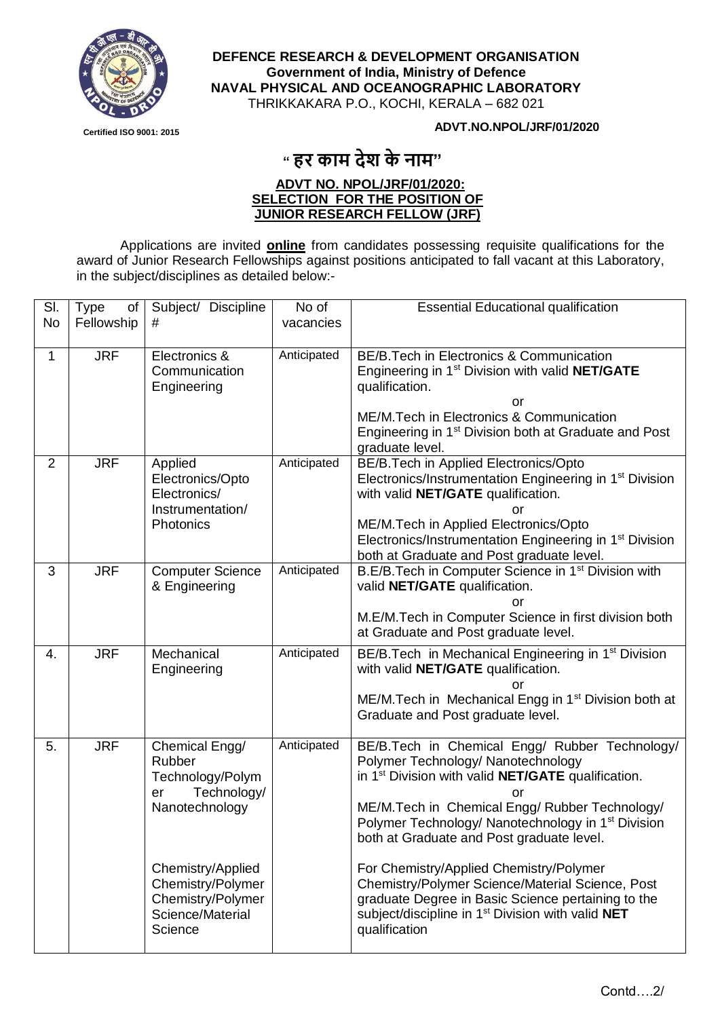

**DEFENCE RESEARCH & DEVELOPMENT ORGANISATION Government of India, Ministry of Defence NAVAL PHYSICAL AND OCEANOGRAPHIC LABORATORY** THRIKKAKARA P.O., KOCHI, KERALA – 682 021

**Certified ISO 9001: 2015**

## **ADVT.NO.NPOL/JRF/01/2020**

## **" हर काम देश के नाम"**

## **ADVT NO. NPOL/JRF/01/2020: SELECTION FOR THE POSITION OF JUNIOR RESEARCH FELLOW (JRF)**

Applications are invited **online** from candidates possessing requisite qualifications for the award of Junior Research Fellowships against positions anticipated to fall vacant at this Laboratory, in the subject/disciplines as detailed below:-

| SI.            | <b>Type</b><br>of | Subject/ Discipline                                                                                                                                                               | No of       | <b>Essential Educational qualification</b>                                                                                                                                                                                                                                                                                                                                                                                                                                                                                                                                  |
|----------------|-------------------|-----------------------------------------------------------------------------------------------------------------------------------------------------------------------------------|-------------|-----------------------------------------------------------------------------------------------------------------------------------------------------------------------------------------------------------------------------------------------------------------------------------------------------------------------------------------------------------------------------------------------------------------------------------------------------------------------------------------------------------------------------------------------------------------------------|
| <b>No</b>      | Fellowship        | #                                                                                                                                                                                 | vacancies   |                                                                                                                                                                                                                                                                                                                                                                                                                                                                                                                                                                             |
| 1              | <b>JRF</b>        | Electronics &<br>Communication<br>Engineering                                                                                                                                     | Anticipated | BE/B.Tech in Electronics & Communication<br>Engineering in 1 <sup>st</sup> Division with valid NET/GATE<br>qualification.<br>or<br>ME/M. Tech in Electronics & Communication<br>Engineering in 1 <sup>st</sup> Division both at Graduate and Post<br>graduate level.                                                                                                                                                                                                                                                                                                        |
| $\overline{2}$ | <b>JRF</b>        | Applied<br>Electronics/Opto<br>Electronics/<br>Instrumentation/<br>Photonics                                                                                                      | Anticipated | BE/B.Tech in Applied Electronics/Opto<br>Electronics/Instrumentation Engineering in 1 <sup>st</sup> Division<br>with valid NET/GATE qualification.<br>or<br>ME/M.Tech in Applied Electronics/Opto<br>Electronics/Instrumentation Engineering in 1 <sup>st</sup> Division<br>both at Graduate and Post graduate level.                                                                                                                                                                                                                                                       |
| 3              | <b>JRF</b>        | <b>Computer Science</b><br>& Engineering                                                                                                                                          | Anticipated | B.E/B.Tech in Computer Science in 1 <sup>st</sup> Division with<br>valid NET/GATE qualification.<br>or<br>M.E/M.Tech in Computer Science in first division both<br>at Graduate and Post graduate level.                                                                                                                                                                                                                                                                                                                                                                     |
| 4.             | <b>JRF</b>        | Mechanical<br>Engineering                                                                                                                                                         | Anticipated | BE/B. Tech in Mechanical Engineering in 1 <sup>st</sup> Division<br>with valid NET/GATE qualification.<br>or<br>ME/M. Tech in Mechanical Engg in 1 <sup>st</sup> Division both at<br>Graduate and Post graduate level.                                                                                                                                                                                                                                                                                                                                                      |
| 5.             | <b>JRF</b>        | Chemical Engg/<br>Rubber<br>Technology/Polym<br>Technology/<br>er<br>Nanotechnology<br>Chemistry/Applied<br>Chemistry/Polymer<br>Chemistry/Polymer<br>Science/Material<br>Science | Anticipated | BE/B.Tech in Chemical Engg/ Rubber Technology/<br>Polymer Technology/ Nanotechnology<br>in 1 <sup>st</sup> Division with valid <b>NET/GATE</b> qualification.<br>or<br>ME/M.Tech in Chemical Engg/ Rubber Technology/<br>Polymer Technology/ Nanotechnology in 1 <sup>st</sup> Division<br>both at Graduate and Post graduate level.<br>For Chemistry/Applied Chemistry/Polymer<br>Chemistry/Polymer Science/Material Science, Post<br>graduate Degree in Basic Science pertaining to the<br>subject/discipline in 1 <sup>st</sup> Division with valid NET<br>qualification |